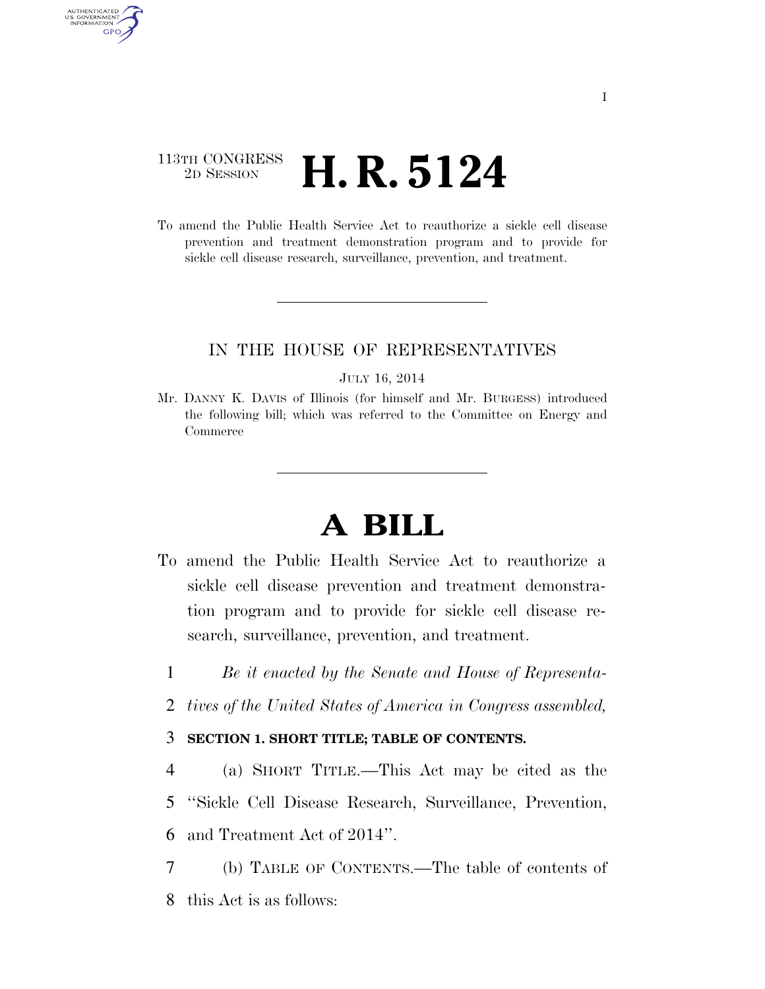## 113TH CONGRESS <sup>2D SESSION</sup> **H. R. 5124**

AUTHENTICATED U.S. GOVERNMENT **GPO** 

> To amend the Public Health Service Act to reauthorize a sickle cell disease prevention and treatment demonstration program and to provide for sickle cell disease research, surveillance, prevention, and treatment.

### IN THE HOUSE OF REPRESENTATIVES

#### JULY 16, 2014

Mr. DANNY K. DAVIS of Illinois (for himself and Mr. BURGESS) introduced the following bill; which was referred to the Committee on Energy and Commerce

# **A BILL**

- To amend the Public Health Service Act to reauthorize a sickle cell disease prevention and treatment demonstration program and to provide for sickle cell disease research, surveillance, prevention, and treatment.
	- 1 *Be it enacted by the Senate and House of Representa-*
	- 2 *tives of the United States of America in Congress assembled,*

### 3 **SECTION 1. SHORT TITLE; TABLE OF CONTENTS.**

4 (a) SHORT TITLE.—This Act may be cited as the 5 ''Sickle Cell Disease Research, Surveillance, Prevention, 6 and Treatment Act of 2014''.

7 (b) TABLE OF CONTENTS.—The table of contents of 8 this Act is as follows: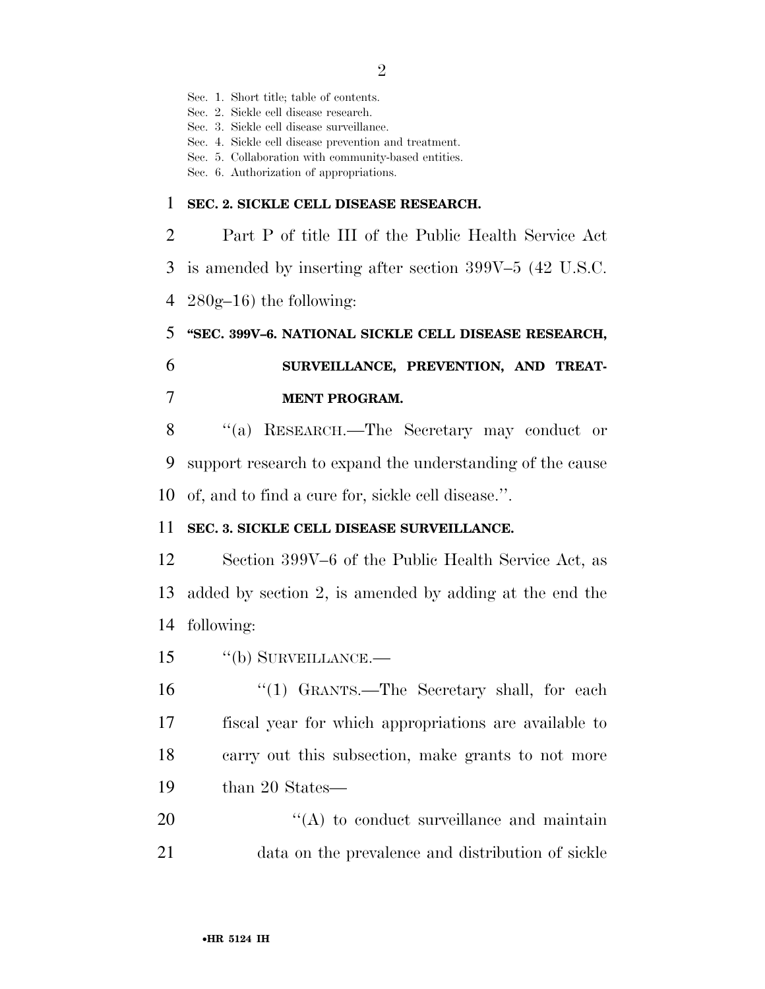Sec. 1. Short title; table of contents. Sec. 2. Sickle cell disease research. Sec. 3. Sickle cell disease surveillance. Sec. 4. Sickle cell disease prevention and treatment. Sec. 5. Collaboration with community-based entities. Sec. 6. Authorization of appropriations. **SEC. 2. SICKLE CELL DISEASE RESEARCH.**  Part P of title III of the Public Health Service Act is amended by inserting after section 399V–5 (42 U.S.C.  $280g-16$ ) the following: **''SEC. 399V–6. NATIONAL SICKLE CELL DISEASE RESEARCH, SURVEILLANCE, PREVENTION, AND TREAT- MENT PROGRAM.**  ''(a) RESEARCH.—The Secretary may conduct or support research to expand the understanding of the cause of, and to find a cure for, sickle cell disease.''. **SEC. 3. SICKLE CELL DISEASE SURVEILLANCE.**  Section 399V–6 of the Public Health Service Act, as added by section 2, is amended by adding at the end the following: ''(b) SURVEILLANCE.— ''(1) GRANTS.—The Secretary shall, for each

 fiscal year for which appropriations are available to carry out this subsection, make grants to not more 19 than 20 States—

20  $\langle (A) \rangle$  to conduct surveillance and maintain data on the prevalence and distribution of sickle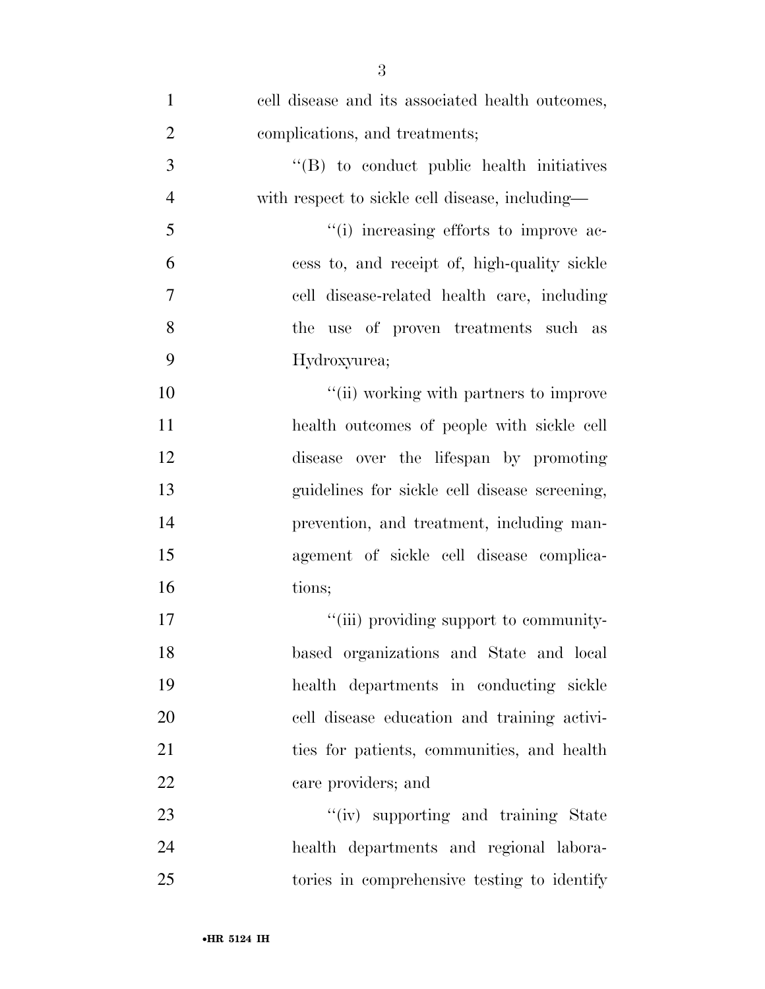| $\mathbf{1}$   | cell disease and its associated health outcomes, |
|----------------|--------------------------------------------------|
| $\overline{2}$ | complications, and treatments;                   |
| 3              | $\lq\lq$ to conduct public health initiatives    |
| $\overline{4}$ | with respect to sickle cell disease, including—  |
| 5              | "(i) increasing efforts to improve ac-           |
| 6              | cess to, and receipt of, high-quality sickle     |
| 7              | cell disease-related health care, including      |
| 8              | the use of proven treatments such as             |
| 9              | Hydroxyurea;                                     |
| 10             | "(ii) working with partners to improve           |
| 11             | health outcomes of people with sickle cell       |
| 12             | disease over the lifespan by promoting           |
| 13             | guidelines for sickle cell disease screening,    |
| 14             | prevention, and treatment, including man-        |
| 15             | agement of sickle cell disease complica-         |
| 16             | tions;                                           |
| 17             | "(iii) providing support to community-           |
| 18             | based organizations and State and local          |
| 19             | health departments in conducting sickle          |
| 20             | cell disease education and training activi-      |
| 21             | ties for patients, communities, and health       |
| 22             | care providers; and                              |
| 23             | "(iv) supporting and training State              |
| 24             | health departments and regional labora-          |
| 25             | tories in comprehensive testing to identify      |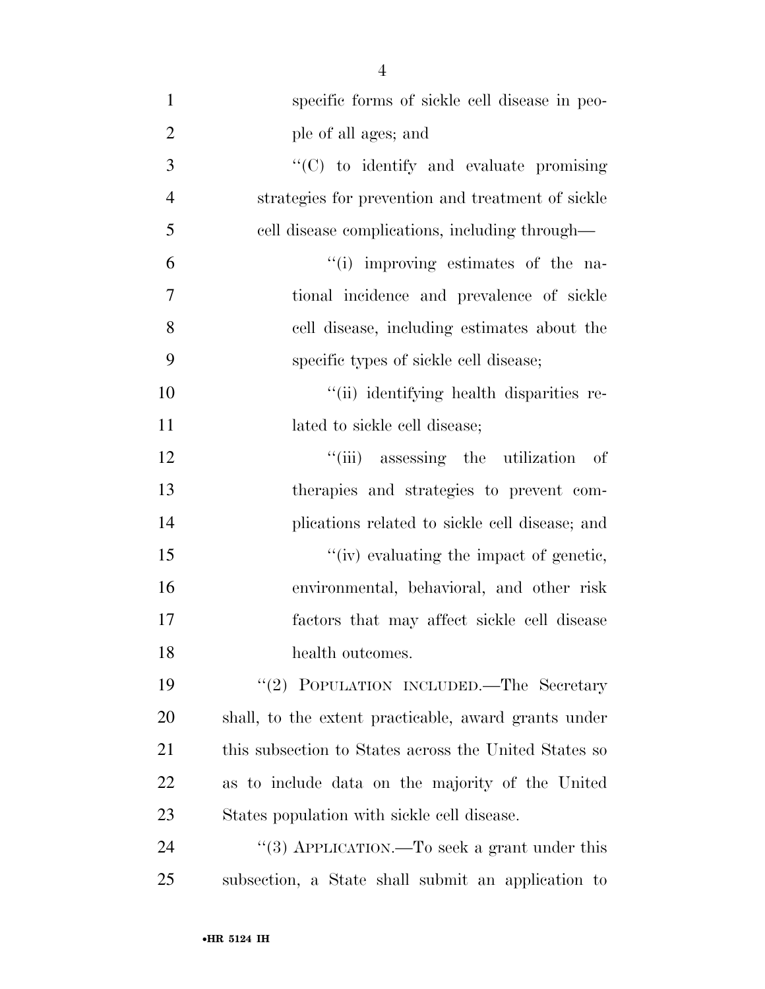| $\mathbf{1}$   | specific forms of sickle cell disease in peo-         |
|----------------|-------------------------------------------------------|
| $\overline{2}$ | ple of all ages; and                                  |
| 3              | "(C) to identify and evaluate promising               |
| $\overline{4}$ | strategies for prevention and treatment of sickle     |
| 5              | cell disease complications, including through—        |
| 6              | "(i) improving estimates of the na-                   |
| 7              | tional incidence and prevalence of sickle             |
| 8              | cell disease, including estimates about the           |
| 9              | specific types of sickle cell disease;                |
| 10             | "(ii) identifying health disparities re-              |
| 11             | lated to sickle cell disease;                         |
| 12             | "(iii) assessing the utilization<br>- of              |
| 13             | therapies and strategies to prevent com-              |
| 14             | plications related to sickle cell disease; and        |
| 15             | "(iv) evaluating the impact of genetic,               |
| 16             | environmental, behavioral, and other risk             |
| 17             | factors that may affect sickle cell disease           |
| 18             | health outcomes.                                      |
| 19             | "(2) POPULATION INCLUDED.—The Secretary               |
| <b>20</b>      | shall, to the extent practicable, award grants under  |
| 21             | this subsection to States across the United States so |
| 22             | as to include data on the majority of the United      |
| 23             | States population with sickle cell disease.           |
| 24             | "(3) APPLICATION.—To seek a grant under this          |
| 25             | subsection, a State shall submit an application to    |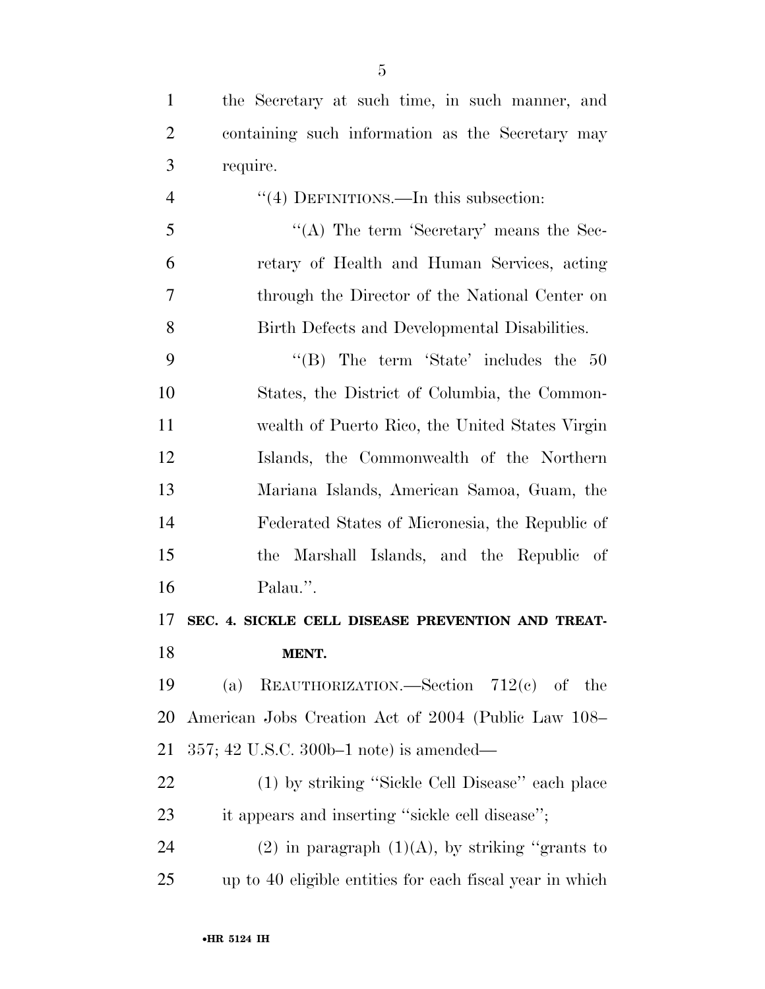| $\mathbf{1}$   | the Secretary at such time, in such manner, and          |
|----------------|----------------------------------------------------------|
| $\overline{2}$ | containing such information as the Secretary may         |
| 3              | require.                                                 |
| $\overline{4}$ | "(4) DEFINITIONS.—In this subsection:                    |
| 5              | "(A) The term 'Secretary' means the Sec-                 |
| 6              | retary of Health and Human Services, acting              |
| 7              | through the Director of the National Center on           |
| 8              | Birth Defects and Developmental Disabilities.            |
| 9              | "(B) The term 'State' includes the $50$                  |
| 10             | States, the District of Columbia, the Common-            |
| 11             | wealth of Puerto Rico, the United States Virgin          |
| 12             | Islands, the Commonwealth of the Northern                |
| 13             | Mariana Islands, American Samoa, Guam, the               |
| 14             | Federated States of Micronesia, the Republic of          |
| 15             | the Marshall Islands, and the Republic of                |
| 16             | Palau.".                                                 |
| 17             | SEC. 4. SICKLE CELL DISEASE PREVENTION AND TREAT-        |
| 18             | MENT.                                                    |
| 19             | REAUTHORIZATION.—Section $712(e)$ of the<br>(a)          |
| 20             | American Jobs Creation Act of 2004 (Public Law 108–      |
| 21             | $357;$ 42 U.S.C. 300b–1 note) is amended—                |
| 22             | (1) by striking "Sickle Cell Disease" each place         |
| 23             | it appears and inserting "sickle cell disease";          |
| 24             | $(2)$ in paragraph $(1)(A)$ , by striking "grants to     |
| 25             | up to 40 eligible entities for each fiscal year in which |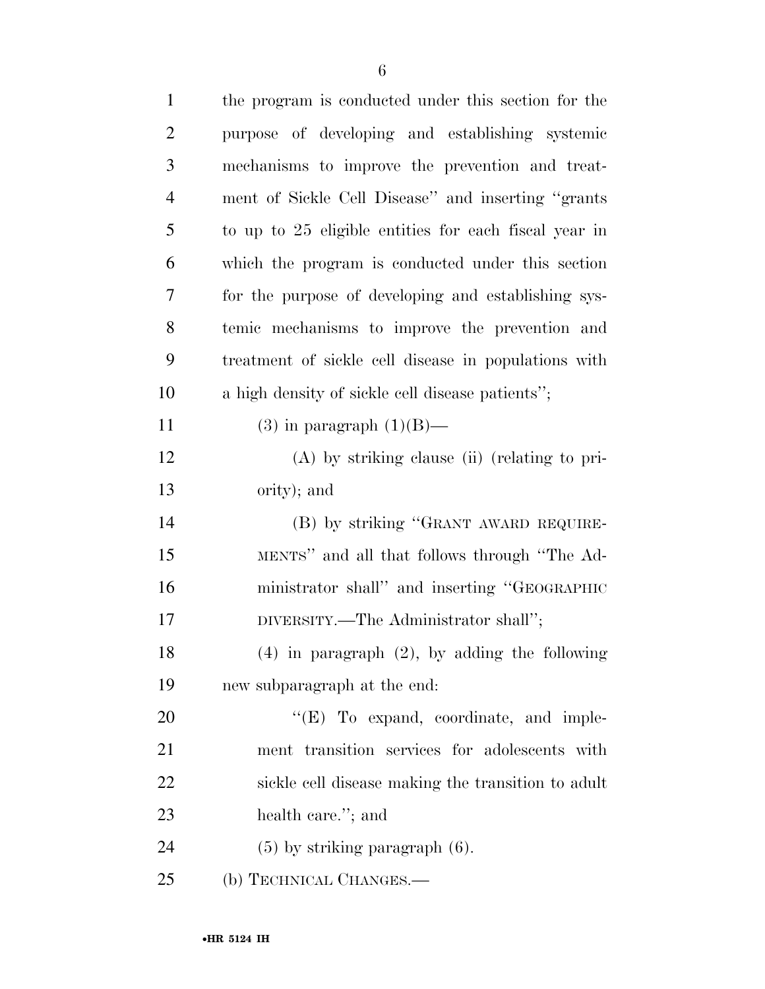| $\mathbf{1}$   | the program is conducted under this section for the   |
|----------------|-------------------------------------------------------|
| $\overline{2}$ | purpose of developing and establishing systemic       |
| 3              | mechanisms to improve the prevention and treat-       |
| $\overline{4}$ | ment of Sickle Cell Disease" and inserting "grants"   |
| 5              | to up to 25 eligible entities for each fiscal year in |
| 6              | which the program is conducted under this section     |
| 7              | for the purpose of developing and establishing sys-   |
| 8              | temic mechanisms to improve the prevention and        |
| 9              | treatment of sickle cell disease in populations with  |
| 10             | a high density of sickle cell disease patients";      |
| 11             | $(3)$ in paragraph $(1)(B)$ —                         |
| 12             | $(A)$ by striking clause (ii) (relating to pri-       |
| 13             | ority); and                                           |
| 14             | (B) by striking "GRANT AWARD REQUIRE-                 |
| 15             | MENTS" and all that follows through "The Ad-          |
| 16             | ministrator shall" and inserting "GEOGRAPHIC          |
| 17             | DIVERSITY.—The Administrator shall";                  |
| 18             | $(4)$ in paragraph $(2)$ , by adding the following    |
| 19             | new subparagraph at the end:                          |
| 20             | $\lq\lq(E)$ To expand, coordinate, and imple-         |
| 21             | ment transition services for adolescents with         |
| 22             | sickle cell disease making the transition to adult    |
| 23             | health care."; and                                    |
| 24             | $(5)$ by striking paragraph $(6)$ .                   |
| 25             | (b) TECHNICAL CHANGES.—                               |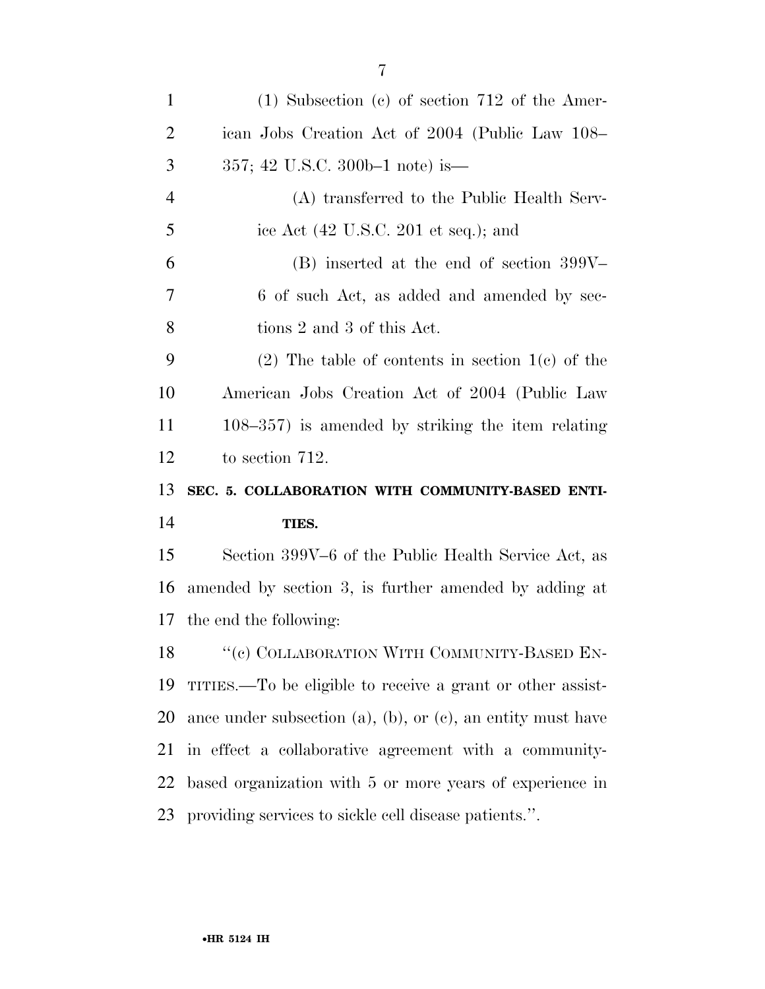| $\mathbf{1}$                                                | $(1)$ Subsection $(e)$ of section 712 of the Amer-                   |
|-------------------------------------------------------------|----------------------------------------------------------------------|
| $\overline{2}$                                              | ican Jobs Creation Act of 2004 (Public Law 108–                      |
| 3                                                           | 357; 42 U.S.C. 300b-1 note) is—                                      |
| $\overline{4}$                                              | (A) transferred to the Public Health Serv-                           |
| 5                                                           | ice Act (42 U.S.C. 201 et seq.); and                                 |
| 6                                                           | $(B)$ inserted at the end of section 399V-                           |
| 7                                                           | 6 of such Act, as added and amended by sec-                          |
| 8                                                           | tions 2 and 3 of this Act.                                           |
| 9                                                           | $(2)$ The table of contents in section 1(c) of the                   |
| 10                                                          | American Jobs Creation Act of 2004 (Public Law                       |
| 11                                                          | $108-357$ ) is amended by striking the item relating                 |
| 12                                                          | to section 712.                                                      |
| 13                                                          | SEC. 5. COLLABORATION WITH COMMUNITY-BASED ENTI-                     |
| 14                                                          | TIES.                                                                |
| 15                                                          | Section 399V–6 of the Public Health Service Act, as                  |
| 16                                                          | amended by section 3, is further amended by adding at                |
| 17                                                          | the end the following:                                               |
|                                                             | 18 " (c) COLLABORATION WITH COMMUNITY-BASED EN-                      |
| 19                                                          | TITIES.—To be eligible to receive a grant or other assist-           |
| 20                                                          | ance under subsection $(a)$ , $(b)$ , or $(c)$ , an entity must have |
| 21                                                          | in effect a collaborative agreement with a community-                |
| 22                                                          | based organization with 5 or more years of experience in             |
| providing services to sickle cell disease patients.".<br>23 |                                                                      |